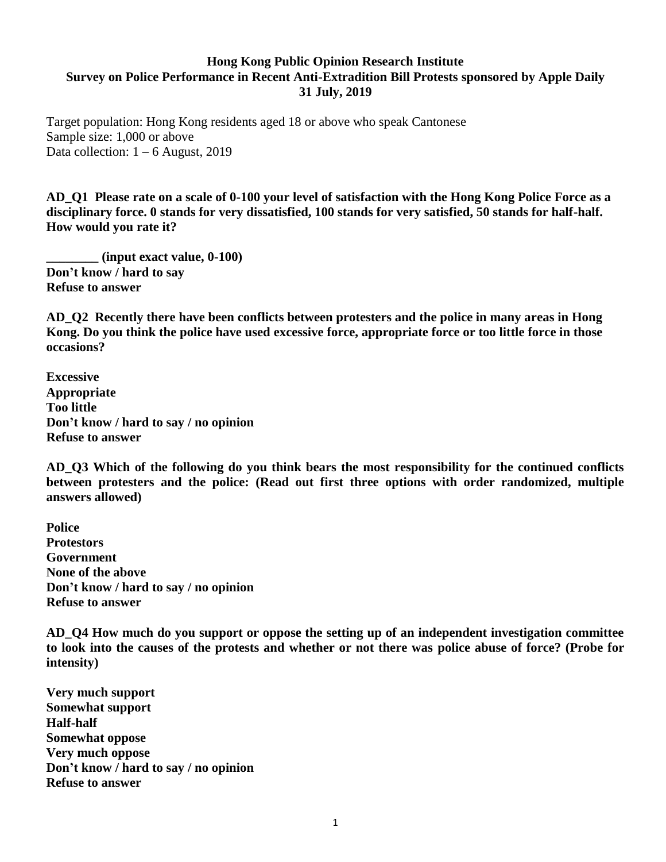## **Hong Kong Public Opinion Research Institute Survey on Police Performance in Recent Anti-Extradition Bill Protests sponsored by Apple Daily 31 July, 2019**

Target population: Hong Kong residents aged 18 or above who speak Cantonese Sample size: 1,000 or above Data collection:  $1 - 6$  August, 2019

**AD\_Q1 Please rate on a scale of 0-100 your level of satisfaction with the Hong Kong Police Force as a disciplinary force. 0 stands for very dissatisfied, 100 stands for very satisfied, 50 stands for half-half. How would you rate it?**

**\_\_\_\_\_\_\_\_ (input exact value, 0-100) Don't know / hard to say Refuse to answer**

**AD\_Q2 Recently there have been conflicts between protesters and the police in many areas in Hong Kong. Do you think the police have used excessive force, appropriate force or too little force in those occasions?**

**Excessive Appropriate Too little Don't know / hard to say / no opinion Refuse to answer**

**AD\_Q3 Which of the following do you think bears the most responsibility for the continued conflicts between protesters and the police: (Read out first three options with order randomized, multiple answers allowed)**

**Police Protestors Government None of the above Don't know / hard to say / no opinion Refuse to answer**

**AD\_Q4 How much do you support or oppose the setting up of an independent investigation committee to look into the causes of the protests and whether or not there was police abuse of force? (Probe for intensity)**

**Very much support Somewhat support Half-half Somewhat oppose Very much oppose Don't know / hard to say / no opinion Refuse to answer**